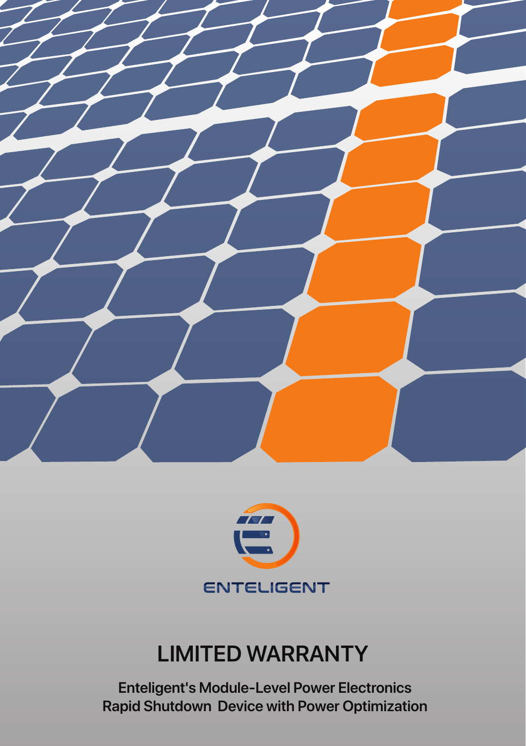



# **LIMITED WARRANTY**

**Enteligent's Module-Level Power Electronics Rapid Shutdown Device with Power Optimization**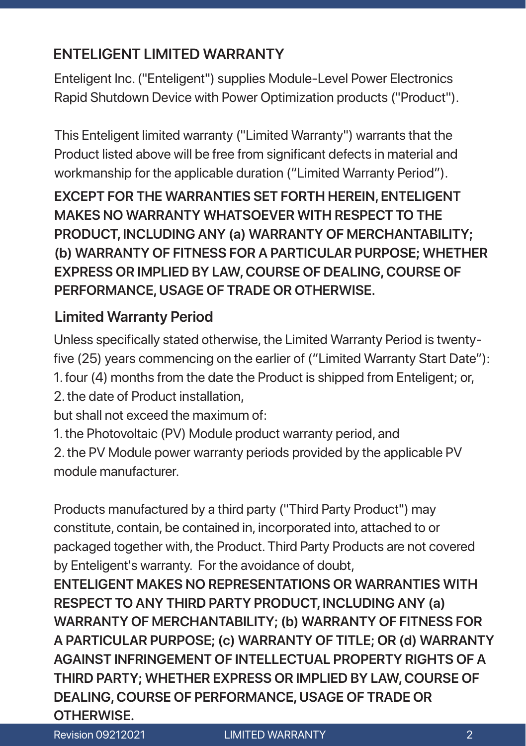# **ENTELIGENT LIMITED WARRANTY**

Enteligent Inc. ("Enteligent") supplies Module-Level Power Electronics Rapid Shutdown Device with Power Optimization products ("Product").

This Enteligent limited warranty ("Limited Warranty") warrants that the Product listed above will be free from significant defects in material and workmanship for the applicable duration ("Limited Warranty Period").

**EXCEPT FOR THE WARRANTIES SET FORTH HEREIN, ENTELIGENT MAKES NO WARRANTY WHATSOEVER WITH RESPECT TO THE PRODUCT, INCLUDING ANY (a) WARRANTY OF MERCHANTABILITY; (b) WARRANTY OF FITNESS FOR A PARTICULAR PURPOSE; WHETHER EXPRESS OR IMPLIED BY LAW, COURSE OF DEALING, COURSE OF PERFORMANCE, USAGE OF TRADE OR OTHERWISE.**

## **Limited Warranty Period**

Unless specifically stated otherwise, the Limited Warranty Period is twentyfive (25) years commencing on the earlier of ("Limited Warranty Start Date"): 1. four (4) months from the date the Product is shipped from Enteligent; or, 2. the date of Product installation,

but shall not exceed the maximum of:

1. the Photovoltaic (PV) Module product warranty period, and 2. the PV Module power warranty periods provided by the applicable PV module manufacturer.

Products manufactured by a third party ("Third Party Product") may constitute, contain, be contained in, incorporated into, attached to or packaged together with, the Product. Third Party Products are not covered by Enteligent's warranty. For the avoidance of doubt,

**ENTELIGENT MAKES NO REPRESENTATIONS OR WARRANTIES WITH RESPECT TO ANY THIRD PARTY PRODUCT, INCLUDING ANY (a) WARRANTY OF MERCHANTABILITY; (b) WARRANTY OF FITNESS FOR A PARTICULAR PURPOSE; (c) WARRANTY OF TITLE; OR (d) WARRANTY AGAINST INFRINGEMENT OF INTELLECTUAL PROPERTY RIGHTS OF A THIRD PARTY; WHETHER EXPRESS OR IMPLIED BY LAW, COURSE OF DEALING, COURSE OF PERFORMANCE, USAGE OF TRADE OR OTHERWISE.**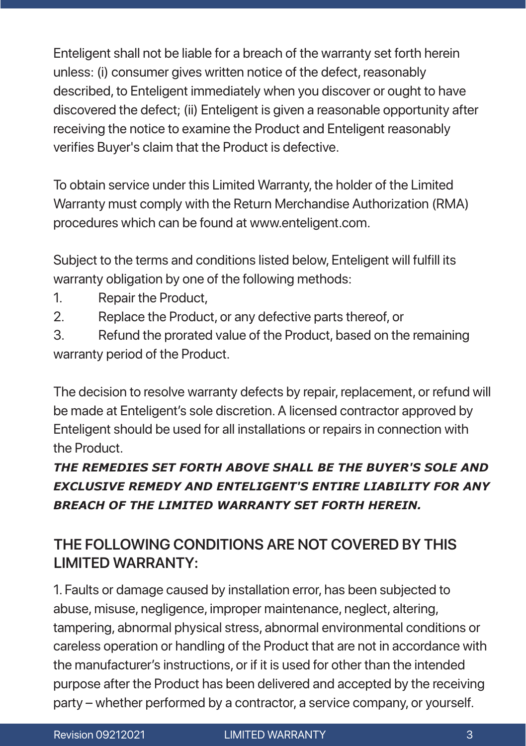Enteligent shall not be liable for a breach of the warranty set forth herein unless: (i) consumer gives written notice of the defect, reasonably described, to Enteligent immediately when you discover or ought to have discovered the defect; (ii) Enteligent is given a reasonable opportunity after receiving the notice to examine the Product and Enteligent reasonably verifies Buyer's claim that the Product is defective.

To obtain service under this Limited Warranty, the holder of the Limited Warranty must comply with the Return Merchandise Authorization (RMA) procedures which can be found at www.enteligent.com.

Subject to the terms and conditions listed below, Enteligent will fulfill its warranty obligation by one of the following methods:

- 1. Repair the Product,
- 2. Replace the Product, or any defective parts thereof, or

3. Refund the prorated value of the Product, based on the remaining warranty period of the Product.

be made at Enteligent's sole discretion. A licensed contractor approved by The decision to resolve warranty defects by repair, replacement, or refund will Enteligent should be used for all installations or repairs in connection with the Product.

### *THE REMEDIES SET FORTH ABOVE SHALL BE THE BUYER'S SOLE AND EXCLUSIVE REMEDY AND ENTELIGENT'S ENTIRE LIABILITY FOR ANY BREACH OF THE LIMITED WARRANTY SET FORTH HEREIN.*

# **THE FOLLOWING CONDITIONS ARE NOT COVERED BY THIS LIMITED WARRANTY:**

1. Faults or damage caused by installation error, has been subjected to abuse, misuse, negligence, improper maintenance, neglect, altering, tampering, abnormal physical stress, abnormal environmental conditions or careless operation or handling of the Product that are not in accordance with the manufacturer's instructions, or if it is used for other than the intended purpose after the Product has been delivered and accepted by the receiving party – whether performed by a contractor, a service company, or yourself.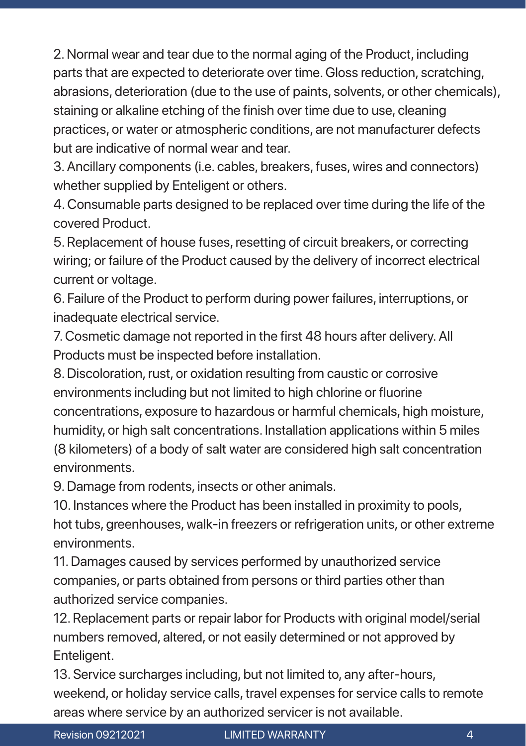2. Normal wear and tear due to the normal aging of the Product, including parts that are expected to deteriorate over time. Gloss reduction, scratching, abrasions, deterioration (due to the use of paints, solvents, or other chemicals), staining or alkaline etching of the finish over time due to use, cleaning practices, or water or atmospheric conditions, are not manufacturer defects but are indicative of normal wear and tear.

3. Ancillary components (i.e. cables, breakers, fuses, wires and connectors) whether supplied by Enteligent or others.

4. Consumable parts designed to be replaced over time during the life of the covered Product.

5. Replacement of house fuses, resetting of circuit breakers, or correcting wiring; or failure of the Product caused by the delivery of incorrect electrical current or voltage.

6. Failure of the Product to perform during power failures, interruptions, or inadequate electrical service.

7. Cosmetic damage not reported in the first 48 hours after delivery. All Products must be inspected before installation.

concentrations, exposure to hazardous or harmful chemicals, high moisture, 8. Discoloration, rust, or oxidation resulting from caustic or corrosive environments including but not limited to high chlorine or fluorine humidity, or high salt concentrations. Installation applications within 5 miles (8 kilometers) of a body of salt water are considered high salt concentration environments.

9. Damage from rodents, insects or other animals.

10. Instances where the Product has been installed in proximity to pools, hot tubs, greenhouses, walk-in freezers or refrigeration units, or other extreme environments.

11. Damages caused by services performed by unauthorized service companies, or parts obtained from persons or third parties other than authorized service companies.

12. Replacement parts or repair labor for Products with original model/serial numbers removed, altered, or not easily determined or not approved by Enteligent.

13. Service surcharges including, but not limited to, any after-hours, weekend, or holiday service calls, travel expenses for service calls to remote areas where service by an authorized servicer is not available.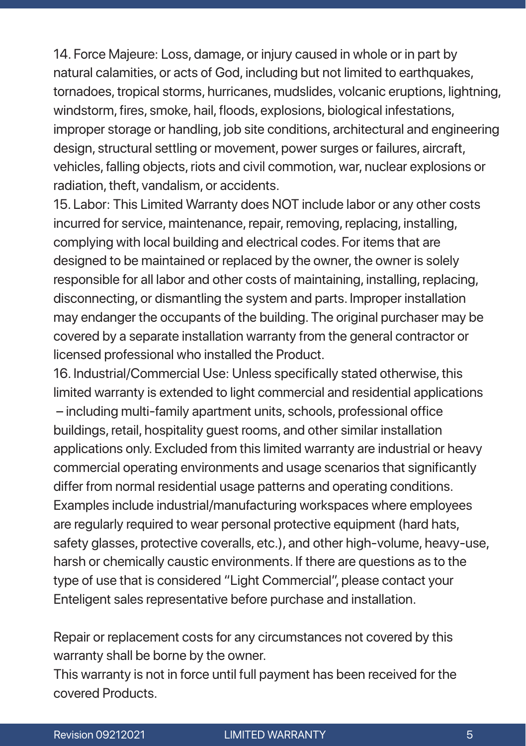14. Force Majeure: Loss, damage, or injury caused in whole or in part by natural calamities, or acts of God, including but not limited to earthquakes, tornadoes, tropical storms, hurricanes, mudslides, volcanic eruptions, lightning, windstorm, fires, smoke, hail, floods, explosions, biological infestations, improper storage or handling, job site conditions, architectural and engineering design, structural settling or movement, power surges or failures, aircraft, vehicles, falling objects, riots and civil commotion, war, nuclear explosions or radiation, theft, vandalism, or accidents.

15. Labor: This Limited Warranty does NOT include labor or any other costs incurred for service, maintenance, repair, removing, replacing, installing, complying with local building and electrical codes. For items that are designed to be maintained or replaced by the owner, the owner is solely responsible for all labor and other costs of maintaining, installing, replacing, disconnecting, or dismantling the system and parts. Improper installation may endanger the occupants of the building. The original purchaser may be covered by a separate installation warranty from the general contractor or licensed professional who installed the Product.

 $-$  including multi-family apartment units, schools, professional office 16. Industrial/Commercial Use: Unless specifically stated otherwise, this limited warranty is extended to light commercial and residential applications buildings, retail, hospitality guest rooms, and other similar installation applications only. Excluded from this limited warranty are industrial or heavy commercial operating environments and usage scenarios that significantly differ from normal residential usage patterns and operating conditions. Examples include industrial/manufacturing workspaces where employees are regularly required to wear personal protective equipment (hard hats, safety glasses, protective coveralls, etc.), and other high-volume, heavy-use, harsh or chemically caustic environments. If there are questions as to the type of use that is considered "Light Commercial", please contact your Enteligent sales representative before purchase and installation.

Repair or replacement costs for any circumstances not covered by this warranty shall be borne by the owner.

This warranty is not in force until full payment has been received for the covered Products.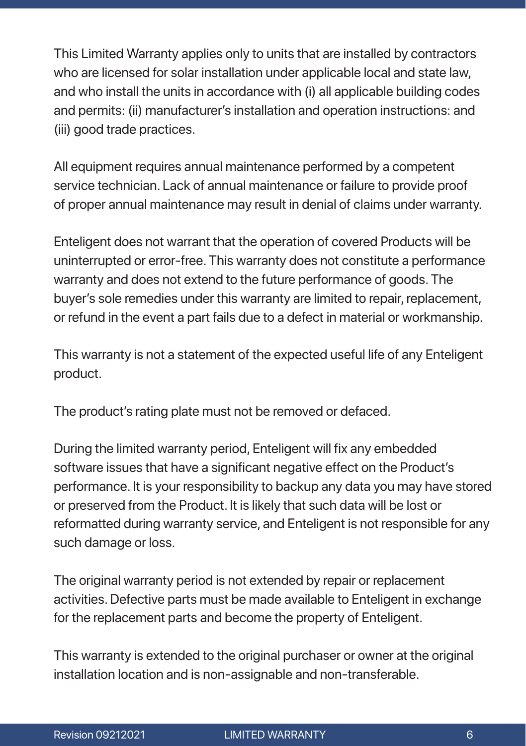This Limited Warranty applies only to units that are installed by contractors who are licensed for solar installation under applicable local and state law. and who install the units in accordance with (i) all applicable building codes and permits: (ii) manufacturer's installation and operation instructions: and (iii) good trade practices.

All equipment requires annual maintenance performed by a competent service technician. Lack of annual maintenance or failure to provide proof of proper annual maintenance may result in denial of claims under warranty.

Enteligent does not warrant that the operation of covered Products will be uninterrupted or error-free. This warranty does not constitute a performance warranty and does not extend to the future performance of goods. The buyer's sole remedies under this warranty are limited to repair, replacement, or refund in the event a part fails due to a defect in material or workmanship.

This warranty is not a statement of the expected useful life of any Enteligent product.

The product's rating plate must not be removed or defaced.

During the limited warranty period, Enteligent will fix any embedded software issues that have a significant negative effect on the Product's performance. It is your responsibility to backup any data you may have stored or preserved from the Product. It is likely that such data will be lost or reformatted during warranty service, and Enteligent is not responsible for any such damage or loss.

The original warranty period is not extended by repair or replacement activities. Defective parts must be made available to Enteligent in exchange for the replacement parts and become the property of Enteligent.

This warranty is extended to the original purchaser or owner at the original installation location and is non-assignable and non-transferable.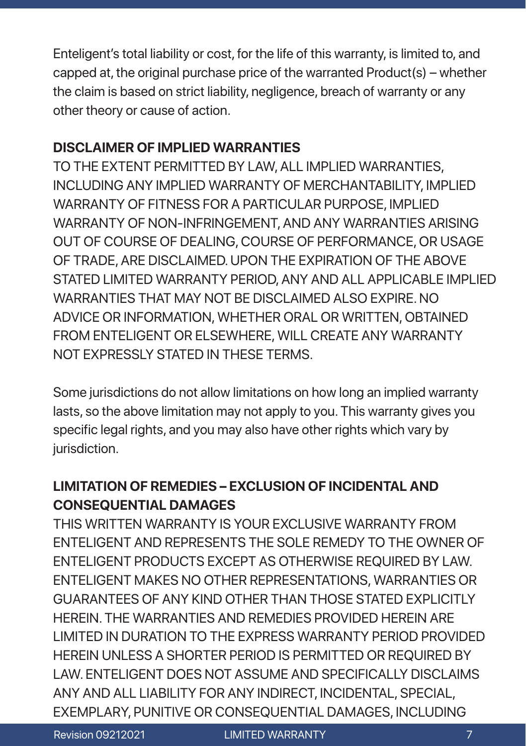Enteligent's total liability or cost, for the life of this warranty, is limited to, and capped at, the original purchase price of the warranted Product(s) – whether the claim is based on strict liability, negligence, breach of warranty or any other theory or cause of action.

#### **DISCLAIMER OF IMPLIED WARRANTIES**

TO THE EXTENT PERMITTED BY LAW, ALL IMPLIED WARRANTIES, INCLUDING ANY IMPLIED WARRANTY OF MERCHANTABILITY, IMPLIED WARRANTY OF FITNESS FOR A PARTICULAR PURPOSE, IMPLIED WARRANTY OF NON-INFRINGEMENT, AND ANY WARRANTIES ARISING OUT OF COURSE OF DEALING, COURSE OF PERFORMANCE, OR USAGE OF TRADE, ARE DISCLAIMED. UPON THE EXPIRATION OF THE ABOVE STATED LIMITED WARRANTY PERIOD, ANY AND ALL APPLICABLE IMPLIED WARRANTIES THAT MAY NOT BE DISCLAIMED ALSO EXPIRE. NO ADVICE OR INFORMATION, WHETHER ORAL OR WRITTEN, OBTAINED FROM ENTELIGENT OR ELSEWHERE, WILL CREATE ANY WARRANTY NOT EXPRESSLY STATED IN THESE TERMS.

lasts, so the above limitation may not apply to you. This warranty gives you Some jurisdictions do not allow limitations on how long an implied warranty specific legal rights, and you may also have other rights which vary by jurisdiction.

### **LIMITATION OF REMEDIES – EXCLUSION OF INCIDENTAL AND CONSEQUENTIAL DAMAGES**

THIS WRITTEN WARRANTY IS YOUR EXCLUSIVE WARRANTY FROM ENTELIGENT AND REPRESENTS THE SOLE REMEDY TO THE OWNER OF ENTELIGENT PRODUCTS EXCEPT AS OTHERWISE REQUIRED BY LAW. ENTELIGENT MAKES NO OTHER REPRESENTATIONS, WARRANTIES OR GUARANTEES OF ANY KIND OTHER THAN THOSE STATED EXPLICITLY HEREIN. THE WARRANTIES AND REMEDIES PROVIDED HEREIN ARE LIMITED IN DURATION TO THE EXPRESS WARRANTY PERIOD PROVIDED HEREIN UNLESS A SHORTER PERIOD IS PERMITTED OR REQUIRED BY LAW. ENTELIGENT DOES NOT ASSUME AND SPECIFICALLY DISCLAIMS ANY AND ALL LIABILITY FOR ANY INDIRECT, INCIDENTAL, SPECIAL, EXEMPLARY, PUNITIVE OR CONSEQUENTIAL DAMAGES, INCLUDING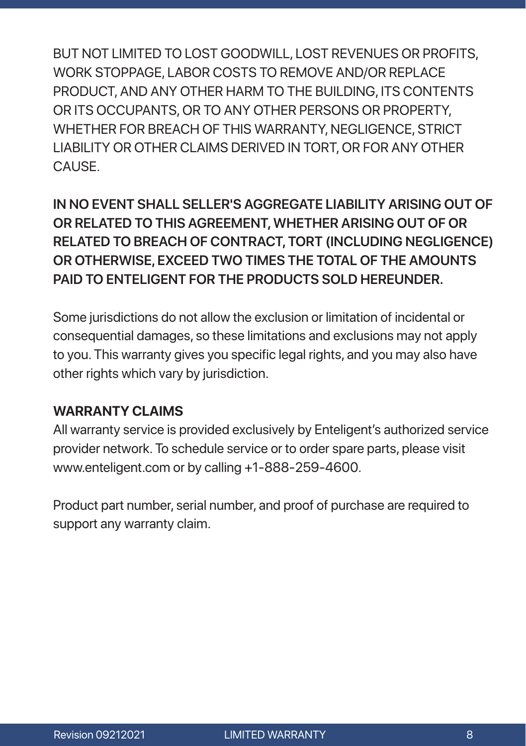BUT NOT LIMITED TO LOST GOODWILL, LOST REVENUES OR PROFITS, WORK STOPPAGE, LABOR COSTS TO REMOVE AND/OR REPLACE PRODUCT, AND ANY OTHER HARM TO THE BUILDING, ITS CONTENTS OR ITS OCCUPANTS, OR TO ANY OTHER PERSONS OR PROPERTY, WHETHER FOR BREACH OF THIS WARRANTY, NEGLIGENCE, STRICT LIABILITY OR OTHER CLAIMS DERIVED IN TORT, OR FOR ANY OTHER CAUSE.

**IN NO EVENT SHALL SELLER'S AGGREGATE LIABILITY ARISING OUT OF OR RELATED TO THIS AGREEMENT, WHETHER ARISING OUT OF OR RELATED TO BREACH OF CONTRACT, TORT (INCLUDING NEGLIGENCE) OR OTHERWISE, EXCEED TWO TIMES THE TOTAL OF THE AMOUNTS PAID TO ENTELIGENT FOR THE PRODUCTS SOLD HEREUNDER.**

Some jurisdictions do not allow the exclusion or limitation of incidental or consequential damages, so these limitations and exclusions may not apply to you. This warranty gives you specific legal rights, and you may also have other rights which vary by jurisdiction.

#### WARRANTY CLAIMS

All warranty service is provided exclusively by Enteligent's authorized service provider network. To schedule service or to order spare parts, please visit www.enteligent.com or by calling +1-888-259-4600.

Product part number, serial number, and proof of purchase are required to support any warranty claim.